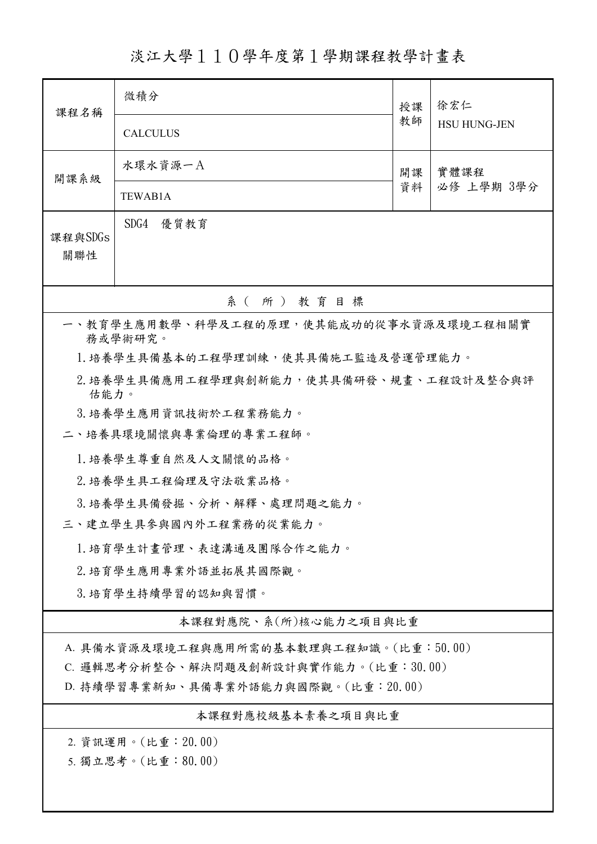淡江大學110學年度第1學期課程教學計畫表

| 課程名稱                                               | 微積分                   | 授課 | 徐宏仁<br><b>HSU HUNG-JEN</b> |  |  |  |
|----------------------------------------------------|-----------------------|----|----------------------------|--|--|--|
|                                                    | <b>CALCULUS</b>       | 教師 |                            |  |  |  |
| 開課系級                                               | 水環水資源一A               | 開課 | 實體課程<br>必修 上學期 3學分         |  |  |  |
|                                                    | TEWAB1A               | 資料 |                            |  |  |  |
| 課程與SDGs                                            | SDG4 優質教育             |    |                            |  |  |  |
| 關聯性                                                |                       |    |                            |  |  |  |
|                                                    | 系(所)教育目標              |    |                            |  |  |  |
| 一、教育學生應用數學、科學及工程的原理,使其能成功的從事水資源及環境工程相關實<br>務或學術研究。 |                       |    |                            |  |  |  |
| 1. 培養學生具備基本的工程學理訓練, 使其具備施工監造及營運管理能力。               |                       |    |                            |  |  |  |
| 2. 培養學生具備應用工程學理與創新能力,使其具備研發、規畫、工程設計及整合與評<br>估能力。   |                       |    |                            |  |  |  |
|                                                    | 3. 培養學生應用資訊技術於工程業務能力。 |    |                            |  |  |  |
|                                                    | 二、培養具環境關懷與專業倫理的專業工程師。 |    |                            |  |  |  |
|                                                    | 1. 培養學生尊重自然及人文關懷的品格。  |    |                            |  |  |  |
| 2. 培養學生具工程倫理及守法敬業品格。                               |                       |    |                            |  |  |  |
| 3.培養學生具備發掘、分析、解釋、處理問題之能力。                          |                       |    |                            |  |  |  |
| 三、建立學生具參與國內外工程業務的從業能力。                             |                       |    |                            |  |  |  |
| 1. 培育學生計畫管理、表達溝通及團隊合作之能力。                          |                       |    |                            |  |  |  |
| 2. 培育學生應用專業外語並拓展其國際觀。                              |                       |    |                            |  |  |  |
| 3. 培育學生持續學習的認知與習慣。                                 |                       |    |                            |  |  |  |
| 本課程對應院、系(所)核心能力之項目與比重                              |                       |    |                            |  |  |  |
| A. 具備水資源及環境工程與應用所需的基本數理與工程知識。(比重:50.00)            |                       |    |                            |  |  |  |
| C. 邏輯思考分析整合、解決問題及創新設計與實作能力。(比重:30.00)              |                       |    |                            |  |  |  |
| D. 持續學習專業新知、具備專業外語能力與國際觀。(比重: 20.00)               |                       |    |                            |  |  |  |
| 本課程對應校級基本素養之項目與比重                                  |                       |    |                            |  |  |  |
| 2. 資訊運用。(比重: 20.00)                                |                       |    |                            |  |  |  |
| 5. 獨立思考。(比重:80.00)                                 |                       |    |                            |  |  |  |
|                                                    |                       |    |                            |  |  |  |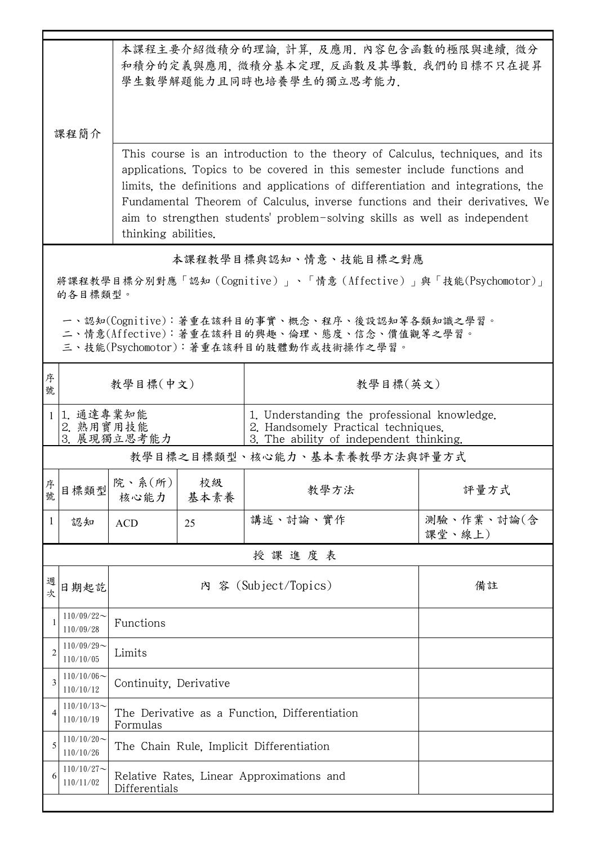|                                                                                                                                        | 本課程主要介紹微積分的理論, 計算, 及應用. 內容包含函數的極限與連續, 微分<br>和積分的定義與應用, 微積分基本定理, 反函數及其導數. 我們的目標不只在提昇<br>學生數學解題能力且同時也培養學生的獨立思考能力.<br>课程简介<br>This course is an introduction to the theory of Calculus, techniques, and its<br>applications. Topics to be covered in this semester include functions and<br>limits, the definitions and applications of differentiation and integrations, the<br>Fundamental Theorem of Calculus, inverse functions and their derivatives. We<br>aim to strengthen students' problem-solving skills as well as independent |                                                            |                                               |                                                                                                                                |                      |  |  |  |
|----------------------------------------------------------------------------------------------------------------------------------------|-----------------------------------------------------------------------------------------------------------------------------------------------------------------------------------------------------------------------------------------------------------------------------------------------------------------------------------------------------------------------------------------------------------------------------------------------------------------------------------------------------------------------------------------|------------------------------------------------------------|-----------------------------------------------|--------------------------------------------------------------------------------------------------------------------------------|----------------------|--|--|--|
|                                                                                                                                        | thinking abilities.                                                                                                                                                                                                                                                                                                                                                                                                                                                                                                                     |                                                            |                                               |                                                                                                                                |                      |  |  |  |
|                                                                                                                                        | 本課程教學目標與認知、情意、技能目標之對應                                                                                                                                                                                                                                                                                                                                                                                                                                                                                                                   |                                                            |                                               |                                                                                                                                |                      |  |  |  |
|                                                                                                                                        | 將課程教學目標分別對應「認知(Cognitive)」、「情意(Affective)」與「技能(Psychomotor)」<br>的各目標類型。                                                                                                                                                                                                                                                                                                                                                                                                                                                                 |                                                            |                                               |                                                                                                                                |                      |  |  |  |
| 一、認知(Cognitive):著重在該科目的事實、概念、程序、後設認知等各類知識之學習。<br>二、情意(Affective):著重在該科目的興趣、倫理、態度、信念、價值觀等之學習。<br>三、技能(Psychomotor):著重在該科目的肢體動作或技術操作之學習。 |                                                                                                                                                                                                                                                                                                                                                                                                                                                                                                                                         |                                                            |                                               |                                                                                                                                |                      |  |  |  |
| 序<br>號                                                                                                                                 |                                                                                                                                                                                                                                                                                                                                                                                                                                                                                                                                         | 教學目標(中文)                                                   |                                               | 教學目標(英文)                                                                                                                       |                      |  |  |  |
|                                                                                                                                        | 1. 通達專業知能<br>2. 熟用實用技能<br>3. 展現獨立思考能力                                                                                                                                                                                                                                                                                                                                                                                                                                                                                                   |                                                            |                                               | 1. Understanding the professional knowledge.<br>2. Handsomely Practical techniques.<br>3. The ability of independent thinking. |                      |  |  |  |
|                                                                                                                                        | 教學目標之目標類型、核心能力、基本素養教學方法與評量方式                                                                                                                                                                                                                                                                                                                                                                                                                                                                                                            |                                                            |                                               |                                                                                                                                |                      |  |  |  |
| 序<br>號                                                                                                                                 | 目標類型                                                                                                                                                                                                                                                                                                                                                                                                                                                                                                                                    | 院、系(所) <br>核心能力                                            | 校級<br>基本素養                                    | 教學方法                                                                                                                           | 評量方式                 |  |  |  |
| -1                                                                                                                                     | 認知                                                                                                                                                                                                                                                                                                                                                                                                                                                                                                                                      | <b>ACD</b>                                                 | 25                                            | 講述、討論、實作                                                                                                                       | 測驗、作業、討論(含<br>課堂、線上) |  |  |  |
|                                                                                                                                        |                                                                                                                                                                                                                                                                                                                                                                                                                                                                                                                                         |                                                            |                                               | 授課進度表                                                                                                                          |                      |  |  |  |
| 週<br>次                                                                                                                                 | 日期起訖                                                                                                                                                                                                                                                                                                                                                                                                                                                                                                                                    | 內 容 (Subject/Topics)<br>備註                                 |                                               |                                                                                                                                |                      |  |  |  |
|                                                                                                                                        | $110/09/22$ ~<br>110/09/28                                                                                                                                                                                                                                                                                                                                                                                                                                                                                                              | Functions                                                  |                                               |                                                                                                                                |                      |  |  |  |
| $\overline{2}$                                                                                                                         | $110/09/29$ ~<br>110/10/05                                                                                                                                                                                                                                                                                                                                                                                                                                                                                                              | Limits                                                     |                                               |                                                                                                                                |                      |  |  |  |
| 3                                                                                                                                      | $110/10/06 \sim$<br>110/10/12                                                                                                                                                                                                                                                                                                                                                                                                                                                                                                           |                                                            | Continuity, Derivative                        |                                                                                                                                |                      |  |  |  |
| 4                                                                                                                                      | $110/10/13$ ~<br>110/10/19                                                                                                                                                                                                                                                                                                                                                                                                                                                                                                              | Formulas                                                   | The Derivative as a Function, Differentiation |                                                                                                                                |                      |  |  |  |
| 5                                                                                                                                      | $110/10/20$ ~<br>110/10/26                                                                                                                                                                                                                                                                                                                                                                                                                                                                                                              | The Chain Rule, Implicit Differentiation                   |                                               |                                                                                                                                |                      |  |  |  |
| 6                                                                                                                                      | $110/10/27$ ~<br>110/11/02                                                                                                                                                                                                                                                                                                                                                                                                                                                                                                              | Relative Rates, Linear Approximations and<br>Differentials |                                               |                                                                                                                                |                      |  |  |  |